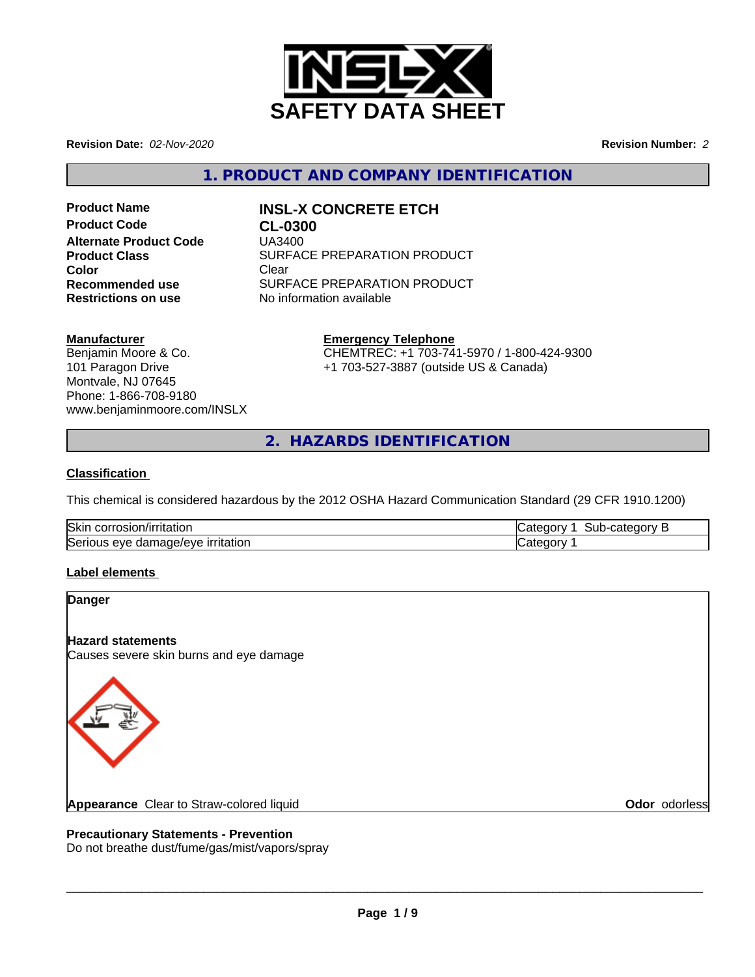

**Revision Date:** *02-Nov-2020* **Revision Number:** *2*

**1. PRODUCT AND COMPANY IDENTIFICATION**

**Product Code CL-0300 Alternate Product Code** UA3400 **Color** Clear Clear

# **Product Name INSL-X CONCRETE ETCH**

**Product Class SURFACE PREPARATION PRODUCT Recommended use** SURFACE PREPARATION PRODUCT<br> **Restrictions on use** No information available **No information available** 

**Manufacturer**

Benjamin Moore & Co. 101 Paragon Drive Montvale, NJ 07645 Phone: 1-866-708-9180 www.benjaminmoore.com/INSLX

## **Emergency Telephone**

CHEMTREC: +1 703-741-5970 / 1-800-424-9300 +1 703-527-3887 (outside US & Canada)

**2. HAZARDS IDENTIFICATION**

## **Classification**

This chemical is considered hazardous by the 2012 OSHA Hazard Communication Standard (29 CFR 1910.1200)

| <b>Skir</b><br>i corrosion/irritation       | ----<br>. 22<br>ак<br>. .urv<br>วนม-เ<br>י<br>uc |
|---------------------------------------------|--------------------------------------------------|
| Serious<br>∍ırrıtatıon<br>damage/eve<br>eve | $\epsilon$                                       |

## **Label elements**

| <b>Danger</b>                                                       |               |
|---------------------------------------------------------------------|---------------|
| <b>Hazard statements</b><br>Causes severe skin burns and eye damage |               |
|                                                                     |               |
| Appearance Clear to Straw-colored liquid                            | Odor odorless |

## **Precautionary Statements - Prevention**

Do not breathe dust/fume/gas/mist/vapors/spray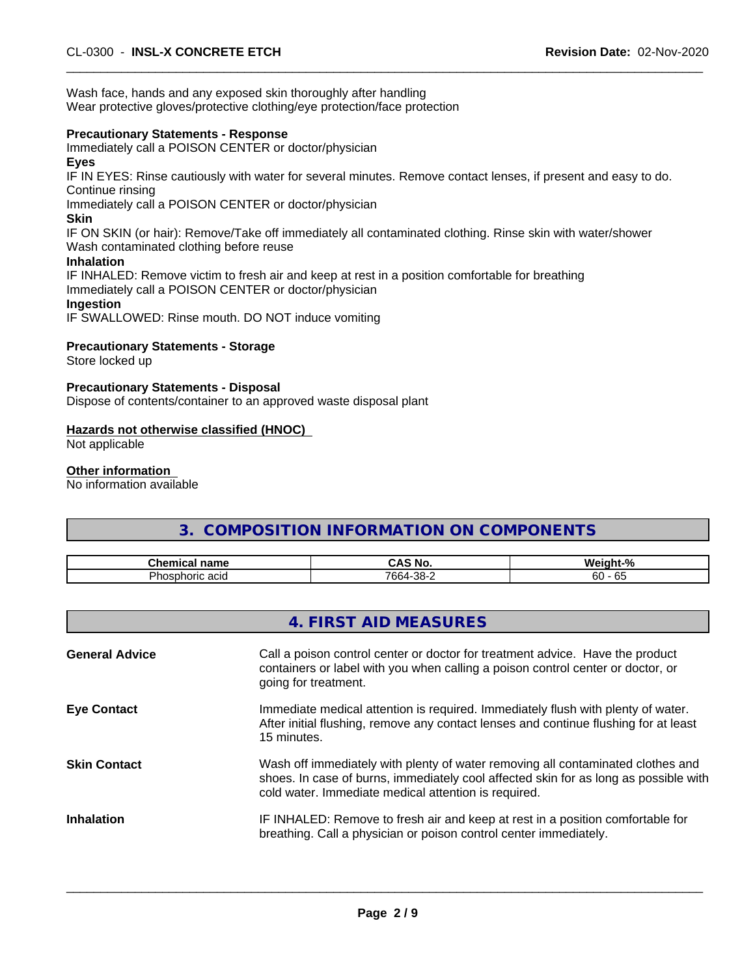Wash face, hands and any exposed skin thoroughly after handling Wear protective gloves/protective clothing/eye protection/face protection

#### **Precautionary Statements - Response**

Immediately call a POISON CENTER or doctor/physician

#### **Eyes**

IF IN EYES: Rinse cautiously with water for several minutes. Remove contact lenses, if present and easy to do. Continue rinsing

Immediately call a POISON CENTER or doctor/physician

## **Skin**

IF ON SKIN (or hair): Remove/Take off immediately all contaminated clothing. Rinse skin with water/shower Wash contaminated clothing before reuse

#### **Inhalation**

IF INHALED: Remove victim to fresh air and keep at rest in a position comfortable for breathing Immediately call a POISON CENTER or doctor/physician **Ingestion**

IF SWALLOWED: Rinse mouth. DO NOT induce vomiting

## **Precautionary Statements - Storage**

Store locked up

#### **Precautionary Statements - Disposal**

Dispose of contents/container to an approved waste disposal plant

## **Hazards not otherwise classified (HNOC)**

Not applicable

#### **Other information**

No information available

## **3. COMPOSITION INFORMATION ON COMPONENTS**

| ີh≙⊾<br>name<br>- --             | -<br>ы.<br>טוי            | .<br>$\overline{\phantom{a}}$<br>--<br>4 H X<br>$\sqrt{2}$ |
|----------------------------------|---------------------------|------------------------------------------------------------|
| -<br>iosphoric acid<br>∵∼اف<br>w | ററെ<br>766<br>-סב<br>- זי | $\sim$<br>60<br><br>ັບ<br>--                               |

## **4. FIRST AID MEASURES**

| <b>General Advice</b> | Call a poison control center or doctor for treatment advice. Have the product<br>containers or label with you when calling a poison control center or doctor, or<br>going for treatment.                                        |
|-----------------------|---------------------------------------------------------------------------------------------------------------------------------------------------------------------------------------------------------------------------------|
| <b>Eye Contact</b>    | Immediate medical attention is required. Immediately flush with plenty of water.<br>After initial flushing, remove any contact lenses and continue flushing for at least<br>15 minutes.                                         |
| <b>Skin Contact</b>   | Wash off immediately with plenty of water removing all contaminated clothes and<br>shoes. In case of burns, immediately cool affected skin for as long as possible with<br>cold water. Immediate medical attention is required. |
| <b>Inhalation</b>     | IF INHALED: Remove to fresh air and keep at rest in a position comfortable for<br>breathing. Call a physician or poison control center immediately.                                                                             |
|                       |                                                                                                                                                                                                                                 |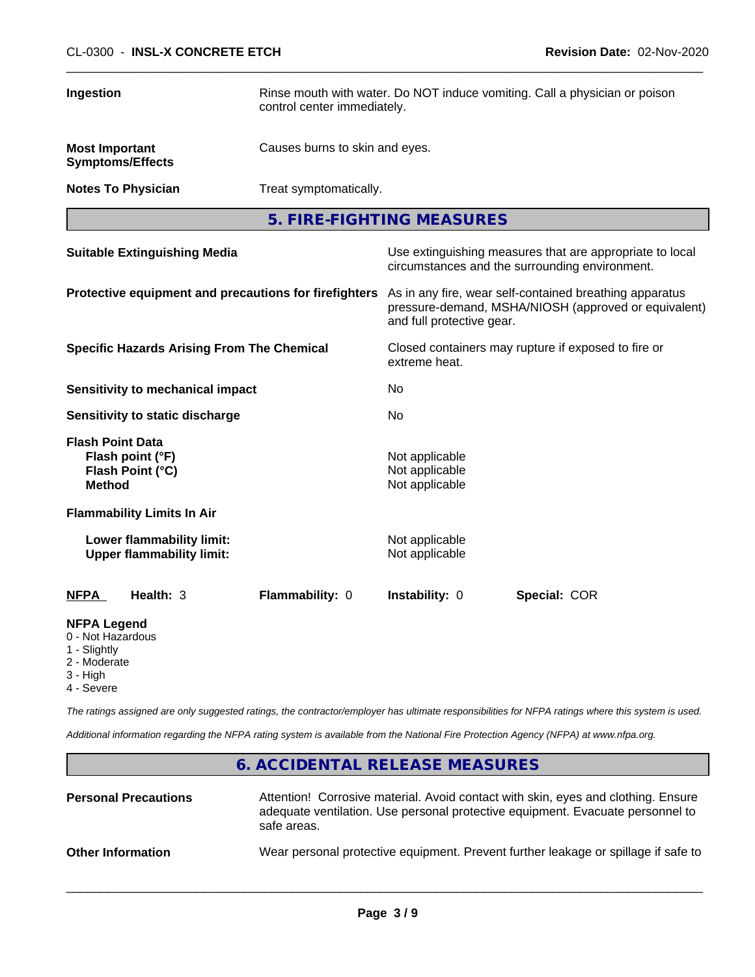| Ingestion                                                               |                                                               | Rinse mouth with water. Do NOT induce vomiting. Call a physician or poison<br>control center immediately.                                    |                                                    |              |  |
|-------------------------------------------------------------------------|---------------------------------------------------------------|----------------------------------------------------------------------------------------------------------------------------------------------|----------------------------------------------------|--------------|--|
| <b>Most Important</b><br><b>Symptoms/Effects</b>                        |                                                               | Causes burns to skin and eyes.                                                                                                               |                                                    |              |  |
| <b>Notes To Physician</b>                                               |                                                               | Treat symptomatically.                                                                                                                       |                                                    |              |  |
|                                                                         |                                                               |                                                                                                                                              | 5. FIRE-FIGHTING MEASURES                          |              |  |
| <b>Suitable Extinguishing Media</b>                                     |                                                               | Use extinguishing measures that are appropriate to local<br>circumstances and the surrounding environment.                                   |                                                    |              |  |
| Protective equipment and precautions for firefighters                   |                                                               | As in any fire, wear self-contained breathing apparatus<br>pressure-demand, MSHA/NIOSH (approved or equivalent)<br>and full protective gear. |                                                    |              |  |
| <b>Specific Hazards Arising From The Chemical</b>                       |                                                               | Closed containers may rupture if exposed to fire or<br>extreme heat.                                                                         |                                                    |              |  |
| <b>Sensitivity to mechanical impact</b>                                 |                                                               | No                                                                                                                                           |                                                    |              |  |
| Sensitivity to static discharge                                         |                                                               | No                                                                                                                                           |                                                    |              |  |
| <b>Flash Point Data</b><br><b>Method</b>                                | Flash point (°F)<br>Flash Point (°C)                          |                                                                                                                                              | Not applicable<br>Not applicable<br>Not applicable |              |  |
|                                                                         | <b>Flammability Limits In Air</b>                             |                                                                                                                                              |                                                    |              |  |
|                                                                         | Lower flammability limit:<br><b>Upper flammability limit:</b> |                                                                                                                                              | Not applicable<br>Not applicable                   |              |  |
| <b>NFPA</b>                                                             | Health: 3                                                     | Flammability: 0                                                                                                                              | Instability: 0                                     | Special: COR |  |
| <b>NFPA Legend</b><br>0 - Not Hazardous<br>1 - Slightly<br>2 - Moderate |                                                               |                                                                                                                                              |                                                    |              |  |

3 - High

4 - Severe

*The ratings assigned are only suggested ratings, the contractor/employer has ultimate responsibilities for NFPA ratings where this system is used.*

*Additional information regarding the NFPA rating system is available from the National Fire Protection Agency (NFPA) at www.nfpa.org.*

## **6. ACCIDENTAL RELEASE MEASURES**

| <b>Personal Precautions</b> | Attention! Corrosive material. Avoid contact with skin, eyes and clothing. Ensure<br>adequate ventilation. Use personal protective equipment. Evacuate personnel to<br>safe areas. |
|-----------------------------|------------------------------------------------------------------------------------------------------------------------------------------------------------------------------------|
| <b>Other Information</b>    | Wear personal protective equipment. Prevent further leakage or spillage if safe to                                                                                                 |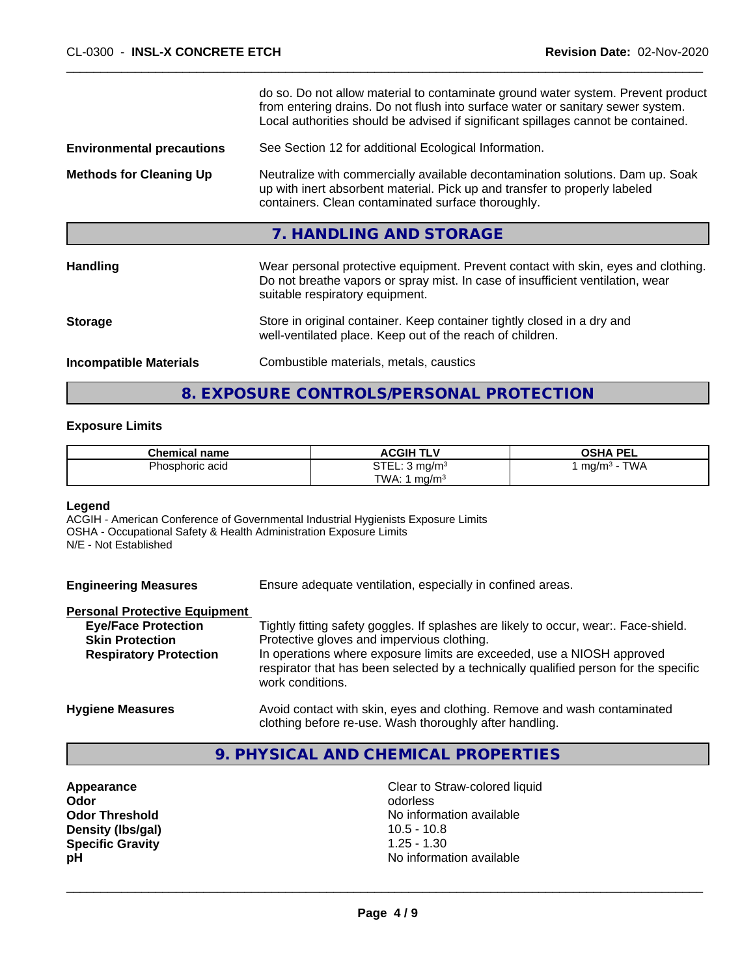|                                  | do so. Do not allow material to contaminate ground water system. Prevent product<br>from entering drains. Do not flush into surface water or sanitary sewer system.<br>Local authorities should be advised if significant spillages cannot be contained. |
|----------------------------------|----------------------------------------------------------------------------------------------------------------------------------------------------------------------------------------------------------------------------------------------------------|
| <b>Environmental precautions</b> | See Section 12 for additional Ecological Information.                                                                                                                                                                                                    |
| <b>Methods for Cleaning Up</b>   | Neutralize with commercially available decontamination solutions. Dam up. Soak<br>up with inert absorbent material. Pick up and transfer to properly labeled<br>containers. Clean contaminated surface thoroughly.                                       |
|                                  | 7. HANDLING AND STORAGE                                                                                                                                                                                                                                  |
| <b>Handling</b>                  | Wear personal protective equipment. Prevent contact with skin, eyes and clothing.<br>Do not breathe vapors or spray mist. In case of insufficient ventilation, wear<br>suitable respiratory equipment.                                                   |
| <b>Storage</b>                   | Store in original container. Keep container tightly closed in a dry and<br>well-ventilated place. Keep out of the reach of children.                                                                                                                     |
| <b>Incompatible Materials</b>    | Combustible materials, metals, caustics                                                                                                                                                                                                                  |
|                                  |                                                                                                                                                                                                                                                          |

## **8. EXPOSURE CONTROLS/PERSONAL PROTECTION**

#### **Exposure Limits**

| <b>Chemical name</b> | <b>ACGIH TLV</b>                       | <b>OSHA PEL</b>             |
|----------------------|----------------------------------------|-----------------------------|
| Phosphoric acid      | <b>STEI</b><br>-ma/m≅<br>. ـ ـ ـ ـ ا ت | <b>TWA</b><br>. ma/m<br>. . |
|                      | TWA:<br>ma/m·                          |                             |

#### **Legend**

ACGIH - American Conference of Governmental Industrial Hygienists Exposure Limits OSHA - Occupational Safety & Health Administration Exposure Limits N/E - Not Established

**Engineering Measures** Ensure adequate ventilation, especially in confined areas.

## **Personal Protective Equipment**

| <b>Eye/Face Protection</b>    | Tightly fitting safety goggles. If splashes are likely to occur, wear Face-shield.                                                                                                 |
|-------------------------------|------------------------------------------------------------------------------------------------------------------------------------------------------------------------------------|
| <b>Skin Protection</b>        | Protective gloves and impervious clothing.                                                                                                                                         |
| <b>Respiratory Protection</b> | In operations where exposure limits are exceeded, use a NIOSH approved<br>respirator that has been selected by a technically qualified person for the specific<br>work conditions. |
| <b>Hygiene Measures</b>       | Avoid contact with skin, eyes and clothing. Remove and wash contaminated<br>clothing before re-use. Wash thoroughly after handling.                                                |

## **9. PHYSICAL AND CHEMICAL PROPERTIES**

**Density (lbs/gal) Specific Gravity** 1.25 - 1.30

**Appearance**<br> **Appearance**<br> **Odor**<br> **Odor**<br> **Odor Odor** odorless **Odor Threshold**<br> **Density (Ibs/qal)**<br> **Density (Ibs/qal)**<br> **Compared Acts:** 10.5 - 10.8 **pH** No information available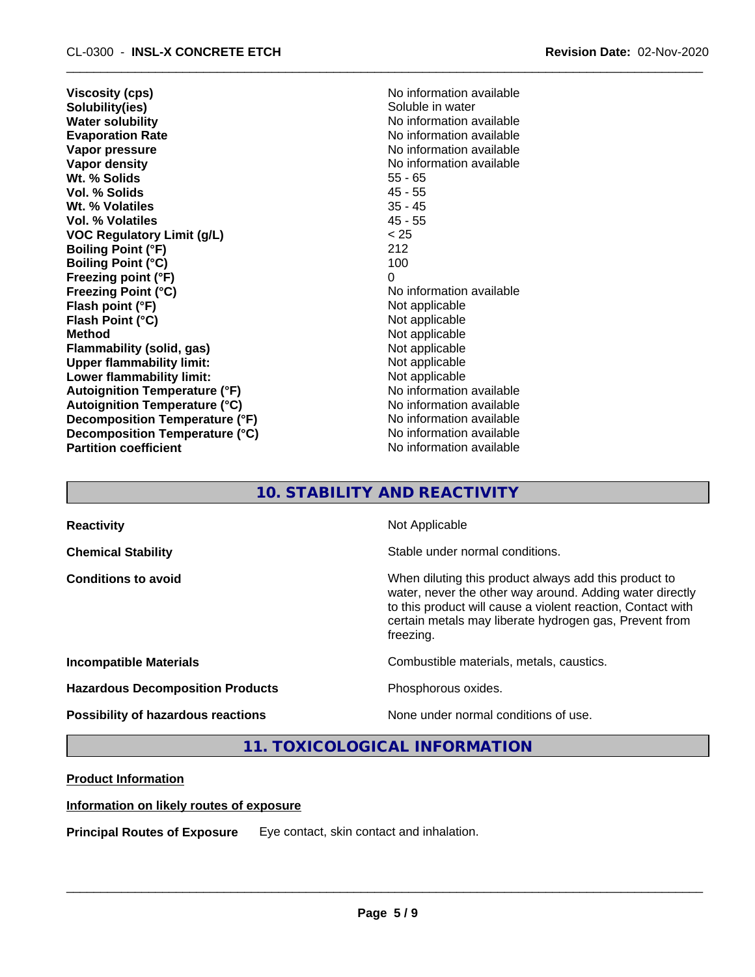**Viscosity (cps)** No information available **Solubility(ies)** Soluble in water<br> **Water solubility** No information a **Water solubility**<br> **Evaporation Rate**<br> **Evaporation Rate**<br> **Evaporation Rate Vapor pressure**<br> **Vapor density**<br> **Vapor density**<br> **Vapor density**<br> **Vapor density** Wt. % Solids **Vol. % Solids** 45 - 55 **Wt. % Volatiles** 35 - 45 **Vol. % Volatiles VOC Regulatory Limit (g/L)** < 25 **Boiling Point (°F)** 212 **Boiling Point (°C)** 100 **Freezing point (°F)** 0<br> **Freezing Point (°C)** N **Flash point (°F)** Not applicable **Flash Point (°C)** Not applicable **Method** Not applicable **Flammability (solid, gas)** Not applicable **Upper flammability limit:**<br> **Lower flammability limit:**<br>
Not applicable<br>
Not applicable **Lower flammability limit: Autoignition Temperature (°F)** No information available **Autoignition Temperature (°C)** No information available **Decomposition Temperature (°F)** No information available **Decomposition Temperature (°C)** No information available<br> **Partition coefficient Partition available Partition coefficient** 

**Evaporation Rate** No information available **No information available**<br>55 - 65 **Freezing Point (°C)** No information available

## **10. STABILITY AND REACTIVITY**

| <b>Reactivity</b>                       | Not Applicable                                                                                                                                                                                                                                          |
|-----------------------------------------|---------------------------------------------------------------------------------------------------------------------------------------------------------------------------------------------------------------------------------------------------------|
| <b>Chemical Stability</b>               | Stable under normal conditions.                                                                                                                                                                                                                         |
| <b>Conditions to avoid</b>              | When diluting this product always add this product to<br>water, never the other way around. Adding water directly<br>to this product will cause a violent reaction, Contact with<br>certain metals may liberate hydrogen gas, Prevent from<br>freezing. |
| <b>Incompatible Materials</b>           | Combustible materials, metals, caustics.                                                                                                                                                                                                                |
| <b>Hazardous Decomposition Products</b> | Phosphorous oxides.                                                                                                                                                                                                                                     |
| Possibility of hazardous reactions      | None under normal conditions of use.                                                                                                                                                                                                                    |

## **11. TOXICOLOGICAL INFORMATION**

## **Product Information**

#### **Information on likely routes of exposure**

**Principal Routes of Exposure** Eye contact, skin contact and inhalation.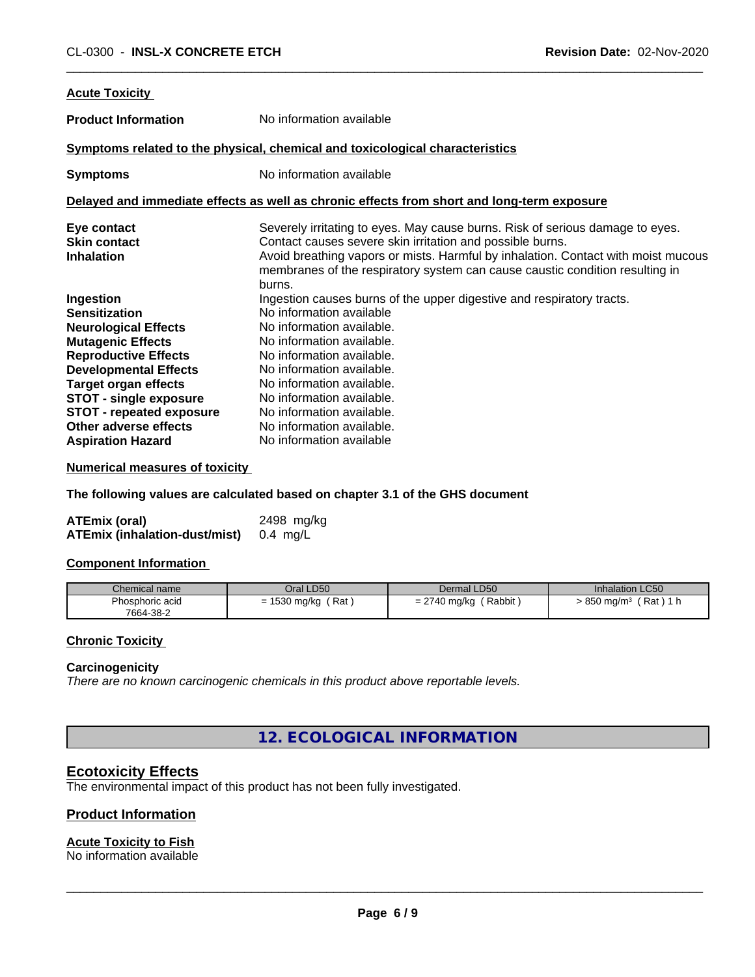| <b>Acute Toxicity</b>                                                                                                                                                                                                                                                                   |                                                                                                                                                                                                                                                                                                                                           |
|-----------------------------------------------------------------------------------------------------------------------------------------------------------------------------------------------------------------------------------------------------------------------------------------|-------------------------------------------------------------------------------------------------------------------------------------------------------------------------------------------------------------------------------------------------------------------------------------------------------------------------------------------|
| <b>Product Information</b>                                                                                                                                                                                                                                                              | No information available                                                                                                                                                                                                                                                                                                                  |
|                                                                                                                                                                                                                                                                                         | Symptoms related to the physical, chemical and toxicological characteristics                                                                                                                                                                                                                                                              |
| <b>Symptoms</b>                                                                                                                                                                                                                                                                         | No information available                                                                                                                                                                                                                                                                                                                  |
|                                                                                                                                                                                                                                                                                         | Delayed and immediate effects as well as chronic effects from short and long-term exposure                                                                                                                                                                                                                                                |
| Eye contact<br><b>Skin contact</b><br><b>Inhalation</b>                                                                                                                                                                                                                                 | Severely irritating to eyes. May cause burns. Risk of serious damage to eyes.<br>Contact causes severe skin irritation and possible burns.<br>Avoid breathing vapors or mists. Harmful by inhalation. Contact with moist mucous<br>membranes of the respiratory system can cause caustic condition resulting in<br>burns.                 |
| Ingestion<br><b>Sensitization</b><br><b>Neurological Effects</b><br><b>Mutagenic Effects</b><br><b>Reproductive Effects</b><br><b>Developmental Effects</b><br><b>Target organ effects</b><br><b>STOT - single exposure</b><br><b>STOT - repeated exposure</b><br>Other adverse effects | Ingestion causes burns of the upper digestive and respiratory tracts.<br>No information available<br>No information available.<br>No information available.<br>No information available.<br>No information available.<br>No information available.<br>No information available.<br>No information available.<br>No information available. |
| <b>Aspiration Hazard</b>                                                                                                                                                                                                                                                                | No information available                                                                                                                                                                                                                                                                                                                  |

**Numerical measures of toxicity**

**The following values are calculated based on chapter 3.1 of the GHS document**

| <b>ATEmix (oral)</b>          | 2498 mg/kg |
|-------------------------------|------------|
| ATEmix (inhalation-dust/mist) | 0.4 mg/L   |

#### **Component Information**

| Chemical name   | Oral LD50                          | Dermal LD50                                                                     | <b>Inhalation LC50</b>                    |
|-----------------|------------------------------------|---------------------------------------------------------------------------------|-------------------------------------------|
| Phosphoric acid | $\Gamma$<br>Rat<br>1530 mg/kg<br>- | Rabbit,<br>$\sim$ $\sim$<br><u>'</u> 740 mg/kg<br>$\overline{\phantom{0}}$<br>- | Rat<br>850<br><b>AL</b><br>≀ ma/m§<br>. . |
| 7664-38-2       |                                    |                                                                                 |                                           |

#### **Chronic Toxicity**

#### **Carcinogenicity**

*There are no known carcinogenic chemicals in this product above reportable levels.*

**12. ECOLOGICAL INFORMATION**

## **Ecotoxicity Effects**

The environmental impact of this product has not been fully investigated.

## **Product Information**

## **Acute Toxicity to Fish**

No information available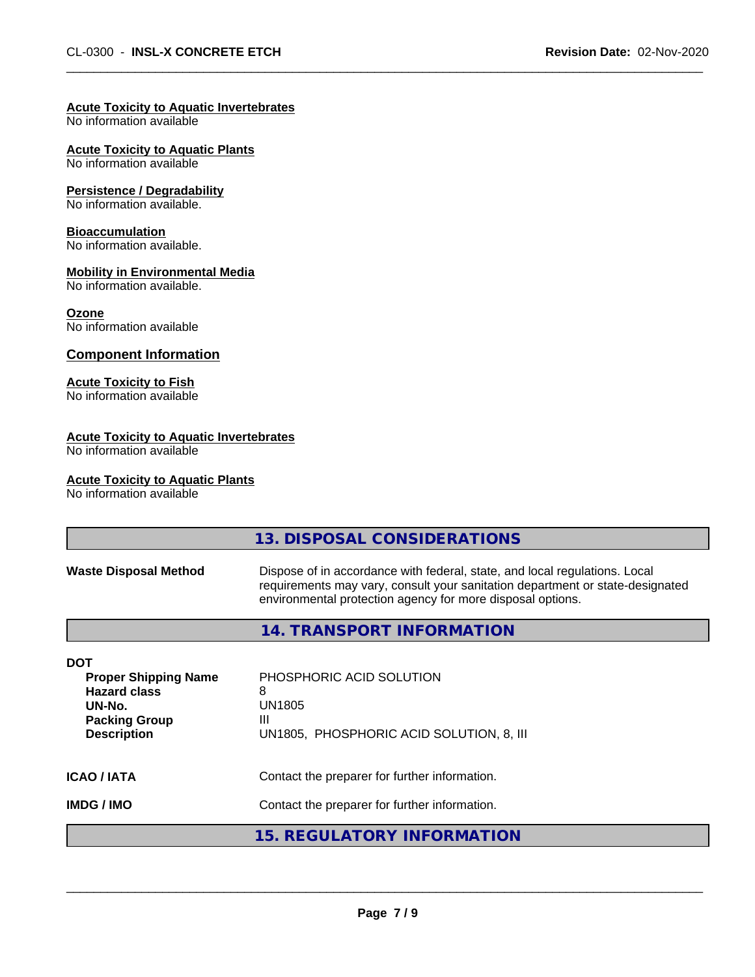#### **Acute Toxicity to Aquatic Invertebrates**

No information available

**Acute Toxicity to Aquatic Plants**

No information available

#### **Persistence / Degradability**

No information available.

#### **Bioaccumulation**

No information available.

#### **Mobility in Environmental Media**

No information available.

#### **Ozone**

No information available

#### **Component Information**

#### **Acute Toxicity to Fish**

No information available

#### **Acute Toxicity to Aquatic Invertebrates**

No information available

#### **Acute Toxicity to Aquatic Plants**

No information available

|                                                                                                                          | 13. DISPOSAL CONSIDERATIONS                                                                                                                                                                                               |
|--------------------------------------------------------------------------------------------------------------------------|---------------------------------------------------------------------------------------------------------------------------------------------------------------------------------------------------------------------------|
| <b>Waste Disposal Method</b>                                                                                             | Dispose of in accordance with federal, state, and local regulations. Local<br>requirements may vary, consult your sanitation department or state-designated<br>environmental protection agency for more disposal options. |
|                                                                                                                          | 14. TRANSPORT INFORMATION                                                                                                                                                                                                 |
| <b>DOT</b><br><b>Proper Shipping Name</b><br><b>Hazard class</b><br>UN-No.<br><b>Packing Group</b><br><b>Description</b> | PHOSPHORIC ACID SOLUTION<br>8<br>UN1805<br>Ш<br>UN1805, PHOSPHORIC ACID SOLUTION, 8, III                                                                                                                                  |
| <b>ICAO / IATA</b>                                                                                                       | Contact the preparer for further information.                                                                                                                                                                             |
| <b>IMDG/IMO</b>                                                                                                          | Contact the preparer for further information.                                                                                                                                                                             |
|                                                                                                                          | 15. REGULATORY INFORMATION                                                                                                                                                                                                |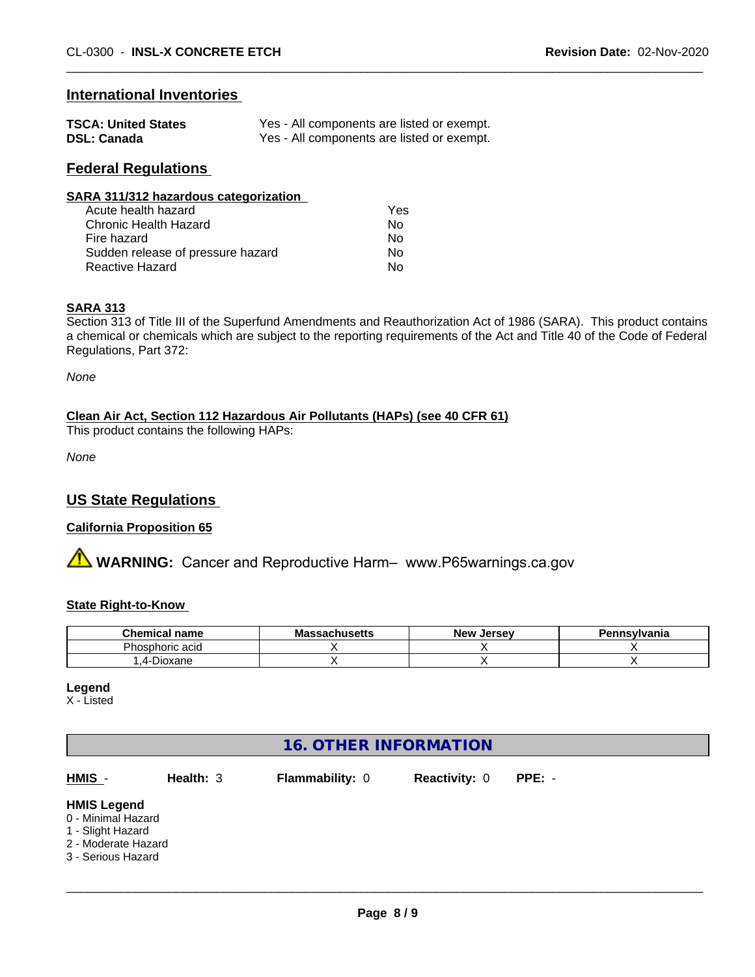## **International Inventories**

| <b>TSCA: United States</b> | Yes - All components are listed or exempt. |
|----------------------------|--------------------------------------------|
| <b>DSL: Canada</b>         | Yes - All components are listed or exempt. |

## **Federal Regulations**

| SARA 311/312 hazardous categorization |     |  |
|---------------------------------------|-----|--|
| Acute health hazard                   | Yes |  |
| Chronic Health Hazard                 | No  |  |
| Fire hazard                           | No  |  |
| Sudden release of pressure hazard     | No  |  |
| <b>Reactive Hazard</b>                | No  |  |

#### **SARA 313**

Section 313 of Title III of the Superfund Amendments and Reauthorization Act of 1986 (SARA). This product contains a chemical or chemicals which are subject to the reporting requirements of the Act and Title 40 of the Code of Federal Regulations, Part 372:

*None*

## **Clean Air Act,Section 112 Hazardous Air Pollutants (HAPs) (see 40 CFR 61)**

This product contains the following HAPs:

*None*

## **US State Regulations**

#### **California Proposition 65**

**AVIMARNING:** Cancer and Reproductive Harm– www.P65warnings.ca.gov

#### **State Right-to-Know**

| Chemic<br>name       | $-$ <b><i>b</i></b> $\cdots$<br>Mε<br>uscus | <b>Jerse</b> v<br>Alov. | าnsvlvania |
|----------------------|---------------------------------------------|-------------------------|------------|
| iosphoric acid<br>ΠU |                                             |                         |            |
| -<br>Dioxane         |                                             |                         |            |

#### **Legend**

X - Listed

| <b>16. OTHER INFORMATION</b>                                                                               |           |                        |                      |          |  |
|------------------------------------------------------------------------------------------------------------|-----------|------------------------|----------------------|----------|--|
| $HMIS -$                                                                                                   | Health: 3 | <b>Flammability: 0</b> | <b>Reactivity: 0</b> | $PPE: -$ |  |
| <b>HMIS Legend</b><br>0 - Minimal Hazard<br>1 - Slight Hazard<br>2 - Moderate Hazard<br>3 - Serious Hazard |           |                        |                      |          |  |